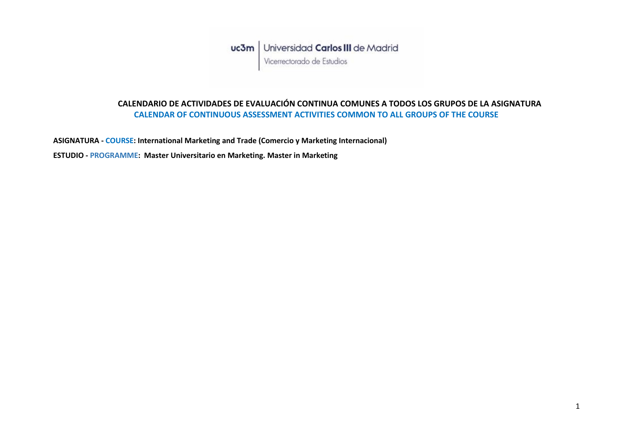## **CALENDARIO DE ACTIVIDADES DE EVALUACIÓN CONTINUA COMUNES A TODOS LOS GRUPOS DE LA ASIGNATURA CALENDAR OF CONTINUOUS ASSESSMENT ACTIVITIES COMMON TO ALL GROUPS OF THE COURSE**

**ASIGNATURA - COURSE: International Marketing and Trade (Comercio y Marketing Internacional)**

**ESTUDIO - PROGRAMME: Master Universitario en Marketing. Master in Marketing**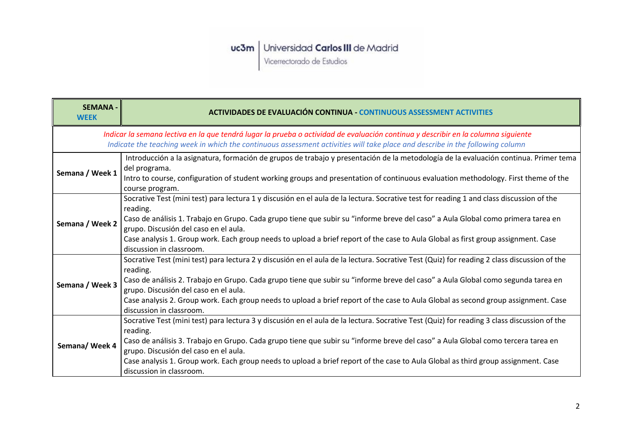Vicerrectorado de Estudios

| <b>SEMANA -</b><br><b>WEEK</b>                                                                                                                                                                                                                                     | <b>ACTIVIDADES DE EVALUACIÓN CONTINUA - CONTINUOUS ASSESSMENT ACTIVITIES</b>                                                                                                                                                                                                                                                                                                                                                                                                                           |
|--------------------------------------------------------------------------------------------------------------------------------------------------------------------------------------------------------------------------------------------------------------------|--------------------------------------------------------------------------------------------------------------------------------------------------------------------------------------------------------------------------------------------------------------------------------------------------------------------------------------------------------------------------------------------------------------------------------------------------------------------------------------------------------|
| Indicar la semana lectiva en la que tendrá lugar la prueba o actividad de evaluación continua y describir en la columna siguiente<br>Indicate the teaching week in which the continuous assessment activities will take place and describe in the following column |                                                                                                                                                                                                                                                                                                                                                                                                                                                                                                        |
| Semana / Week 1                                                                                                                                                                                                                                                    | Introducción a la asignatura, formación de grupos de trabajo y presentación de la metodología de la evaluación continua. Primer tema<br>del programa.<br>Intro to course, configuration of student working groups and presentation of continuous evaluation methodology. First theme of the<br>course program.                                                                                                                                                                                         |
| Semana / Week 2                                                                                                                                                                                                                                                    | Socrative Test (mini test) para lectura 1 y discusión en el aula de la lectura. Socrative test for reading 1 and class discussion of the<br>reading.<br>Caso de análisis 1. Trabajo en Grupo. Cada grupo tiene que subir su "informe breve del caso" a Aula Global como primera tarea en<br>grupo. Discusión del caso en el aula.<br>Case analysis 1. Group work. Each group needs to upload a brief report of the case to Aula Global as first group assignment. Case<br>discussion in classroom.     |
| Semana / Week 3                                                                                                                                                                                                                                                    | Socrative Test (mini test) para lectura 2 y discusión en el aula de la lectura. Socrative Test (Quiz) for reading 2 class discussion of the<br>reading.<br>Caso de análisis 2. Trabajo en Grupo. Cada grupo tiene que subir su "informe breve del caso" a Aula Global como segunda tarea en<br>grupo. Discusión del caso en el aula.<br>Case analysis 2. Group work. Each group needs to upload a brief report of the case to Aula Global as second group assignment. Case<br>discussion in classroom. |
| Semana/ Week 4                                                                                                                                                                                                                                                     | Socrative Test (mini test) para lectura 3 y discusión en el aula de la lectura. Socrative Test (Quiz) for reading 3 class discussion of the<br>reading.<br>Caso de análisis 3. Trabajo en Grupo. Cada grupo tiene que subir su "informe breve del caso" a Aula Global como tercera tarea en<br>grupo. Discusión del caso en el aula.<br>Case analysis 1. Group work. Each group needs to upload a brief report of the case to Aula Global as third group assignment. Case<br>discussion in classroom.  |